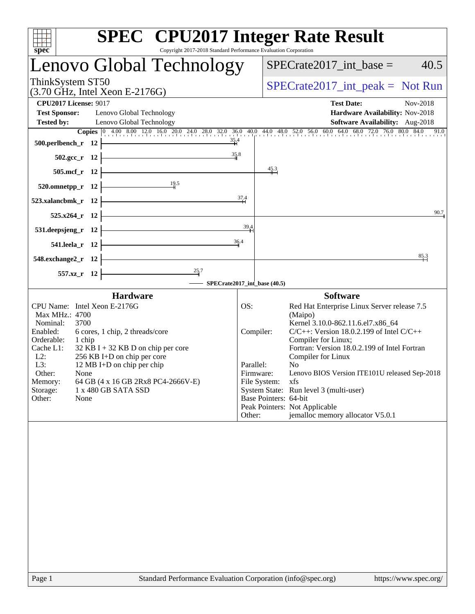| spec<br>Copyright 2017-2018 Standard Performance Evaluation Corporation          |           | <b>SPEC<sup>®</sup></b> CPU2017 Integer Rate Result                                                                                                       |
|----------------------------------------------------------------------------------|-----------|-----------------------------------------------------------------------------------------------------------------------------------------------------------|
| Lenovo Global Technology                                                         |           | $SPECrate2017\_int\_base =$<br>40.5                                                                                                                       |
| ThinkSystem ST50<br>$(3.70$ GHz, Intel Xeon E-2176G)                             |           | $SPECrate2017\_int\_peak = Not Run$                                                                                                                       |
| <b>CPU2017 License: 9017</b>                                                     |           | <b>Test Date:</b><br>Nov-2018                                                                                                                             |
| <b>Test Sponsor:</b><br>Lenovo Global Technology                                 |           | Hardware Availability: Nov-2018                                                                                                                           |
| <b>Tested by:</b><br>Lenovo Global Technology                                    |           | Software Availability: Aug-2018<br>Copies 0 4.00 8.00 12.0 16.0 20.0 24.0 28.0 32.0 36.0 40.0 44.0 48.0 52.0 56.0 60.0 64.0 68.0 72.0 76.0 80.0 84.0 91.0 |
| 500.perlbench_r 12                                                               | 35.4      |                                                                                                                                                           |
| $502.\text{gcc}_r$ 12                                                            | 35.8      |                                                                                                                                                           |
| 505.mcf_r 12                                                                     |           | 45.3                                                                                                                                                      |
| 19.5<br>520.omnetpp_r 12                                                         |           |                                                                                                                                                           |
| 523.xalancbmk r 12                                                               | 37.4      |                                                                                                                                                           |
| 525.x264_r 12                                                                    |           | 90.7                                                                                                                                                      |
| 531.deepsjeng_r 12                                                               | 39,4      |                                                                                                                                                           |
| 541.leela r 12                                                                   | 36.4      |                                                                                                                                                           |
| 548.exchange2_r 12                                                               |           | $\frac{85.3}{4}$                                                                                                                                          |
| $\stackrel{25.7}{\rightarrow}$<br>557.xz_r 12                                    |           |                                                                                                                                                           |
|                                                                                  |           | SPECrate2017_int_base (40.5)                                                                                                                              |
| <b>Hardware</b>                                                                  |           | <b>Software</b>                                                                                                                                           |
| CPU Name: Intel Xeon E-2176G<br>Max MHz.: 4700                                   | OS:       | Red Hat Enterprise Linux Server release 7.5<br>(Maipo)                                                                                                    |
| Nominal:<br>3700                                                                 |           | Kernel 3.10.0-862.11.6.el7.x86_64                                                                                                                         |
| Enabled:<br>6 cores, 1 chip, 2 threads/core<br>Orderable:<br>1 chip              |           | $C/C++$ : Version 18.0.2.199 of Intel $C/C++$<br>Compiler:<br>Compiler for Linux;                                                                         |
| Cache L1:<br>$32$ KB I + 32 KB D on chip per core                                |           | Fortran: Version 18.0.2.199 of Intel Fortran                                                                                                              |
| $L2$ :<br>256 KB I+D on chip per core<br>L3:<br>12 MB I+D on chip per chip       | Parallel: | Compiler for Linux<br>N <sub>0</sub>                                                                                                                      |
| Other:<br>None                                                                   |           | Lenovo BIOS Version ITE101U released Sep-2018<br>Firmware:                                                                                                |
| 64 GB (4 x 16 GB 2Rx8 PC4-2666V-E)<br>Memory:<br>Storage:<br>1 x 480 GB SATA SSD |           | File System:<br>xfs<br>System State: Run level 3 (multi-user)                                                                                             |
| Other:<br>None                                                                   |           | Base Pointers: 64-bit                                                                                                                                     |
|                                                                                  | Other:    | Peak Pointers: Not Applicable<br>jemalloc memory allocator V5.0.1                                                                                         |
|                                                                                  |           |                                                                                                                                                           |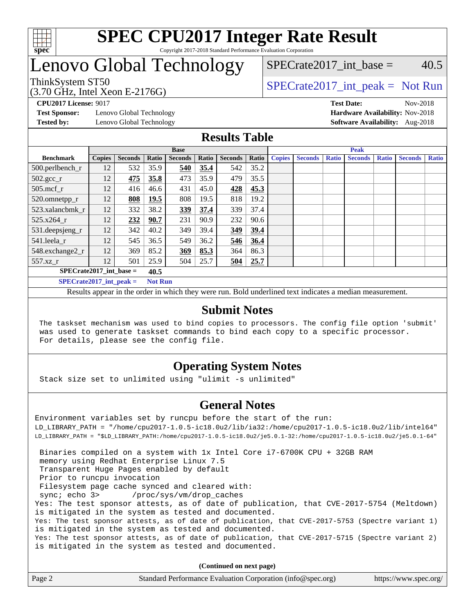

#### **[SPEC CPU2017 Integer Rate Result](http://www.spec.org/auto/cpu2017/Docs/result-fields.html#SPECCPU2017IntegerRateResult)** Copyright 2017-2018 Standard Performance Evaluation Corporation

# Lenovo Global Technology

SPECrate2017 int\_base =  $40.5$ 

(3.70 GHz, Intel Xeon E-2176G)

ThinkSystem ST50  $SPECrate2017$ \_int\_peak = Not Run

**[Test Sponsor:](http://www.spec.org/auto/cpu2017/Docs/result-fields.html#TestSponsor)** Lenovo Global Technology **[Hardware Availability:](http://www.spec.org/auto/cpu2017/Docs/result-fields.html#HardwareAvailability)** Nov-2018 **[Tested by:](http://www.spec.org/auto/cpu2017/Docs/result-fields.html#Testedby)** Lenovo Global Technology **[Software Availability:](http://www.spec.org/auto/cpu2017/Docs/result-fields.html#SoftwareAvailability)** Aug-2018

**[CPU2017 License:](http://www.spec.org/auto/cpu2017/Docs/result-fields.html#CPU2017License)** 9017 **[Test Date:](http://www.spec.org/auto/cpu2017/Docs/result-fields.html#TestDate)** Nov-2018

### **[Results Table](http://www.spec.org/auto/cpu2017/Docs/result-fields.html#ResultsTable)**

|                           | <b>Base</b>   |                |                |                |       | <b>Peak</b>    |       |               |                |              |                |              |                |              |
|---------------------------|---------------|----------------|----------------|----------------|-------|----------------|-------|---------------|----------------|--------------|----------------|--------------|----------------|--------------|
| <b>Benchmark</b>          | <b>Copies</b> | <b>Seconds</b> | Ratio          | <b>Seconds</b> | Ratio | <b>Seconds</b> | Ratio | <b>Copies</b> | <b>Seconds</b> | <b>Ratio</b> | <b>Seconds</b> | <b>Ratio</b> | <b>Seconds</b> | <b>Ratio</b> |
| 500.perlbench_r           | 12            | 532            | 35.9           | 540            | 35.4  | 542            | 35.2  |               |                |              |                |              |                |              |
| $502.\text{gcc\_r}$       | 12            | 475            | 35.8           | 473            | 35.9  | 479            | 35.5  |               |                |              |                |              |                |              |
| $505$ .mcf r              | 12            | 416            | 46.6           | 431            | 45.0  | 428            | 45.3  |               |                |              |                |              |                |              |
| 520.omnetpp_r             | 12            | 808            | 19.5           | 808            | 19.5  | 818            | 19.2  |               |                |              |                |              |                |              |
| 523.xalancbmk r           | 12            | 332            | 38.2           | 339            | 37.4  | 339            | 37.4  |               |                |              |                |              |                |              |
| 525.x264 r                | 12            | 232            | 90.7           | 231            | 90.9  | 232            | 90.6  |               |                |              |                |              |                |              |
| 531.deepsjeng_r           | 12            | 342            | 40.2           | 349            | 39.4  | 349            | 39.4  |               |                |              |                |              |                |              |
| 541.leela r               | 12            | 545            | 36.5           | 549            | 36.2  | 546            | 36.4  |               |                |              |                |              |                |              |
| 548.exchange2_r           | 12            | 369            | 85.2           | 369            | 85.3  | 364            | 86.3  |               |                |              |                |              |                |              |
| 557.xz r                  | 12            | 501            | 25.9           | 504            | 25.7  | 504            | 25.7  |               |                |              |                |              |                |              |
| $SPECrate2017$ int base = |               |                | 40.5           |                |       |                |       |               |                |              |                |              |                |              |
| $SPECrate2017$ int peak = |               |                | <b>Not Run</b> |                |       |                |       |               |                |              |                |              |                |              |

Results appear in the [order in which they were run](http://www.spec.org/auto/cpu2017/Docs/result-fields.html#RunOrder). Bold underlined text [indicates a median measurement](http://www.spec.org/auto/cpu2017/Docs/result-fields.html#Median).

#### **[Submit Notes](http://www.spec.org/auto/cpu2017/Docs/result-fields.html#SubmitNotes)**

 The taskset mechanism was used to bind copies to processors. The config file option 'submit' was used to generate taskset commands to bind each copy to a specific processor. For details, please see the config file.

### **[Operating System Notes](http://www.spec.org/auto/cpu2017/Docs/result-fields.html#OperatingSystemNotes)**

Stack size set to unlimited using "ulimit -s unlimited"

### **[General Notes](http://www.spec.org/auto/cpu2017/Docs/result-fields.html#GeneralNotes)**

Environment variables set by runcpu before the start of the run: LD\_LIBRARY\_PATH = "/home/cpu2017-1.0.5-ic18.0u2/lib/ia32:/home/cpu2017-1.0.5-ic18.0u2/lib/intel64" LD\_LIBRARY\_PATH = "\$LD\_LIBRARY\_PATH:/home/cpu2017-1.0.5-ic18.0u2/je5.0.1-32:/home/cpu2017-1.0.5-ic18.0u2/je5.0.1-64" Binaries compiled on a system with 1x Intel Core i7-6700K CPU + 32GB RAM memory using Redhat Enterprise Linux 7.5 Transparent Huge Pages enabled by default Prior to runcpu invocation Filesystem page cache synced and cleared with: sync; echo 3> /proc/sys/vm/drop\_caches Yes: The test sponsor attests, as of date of publication, that CVE-2017-5754 (Meltdown) is mitigated in the system as tested and documented. Yes: The test sponsor attests, as of date of publication, that CVE-2017-5753 (Spectre variant 1) is mitigated in the system as tested and documented. Yes: The test sponsor attests, as of date of publication, that CVE-2017-5715 (Spectre variant 2) is mitigated in the system as tested and documented.

**(Continued on next page)**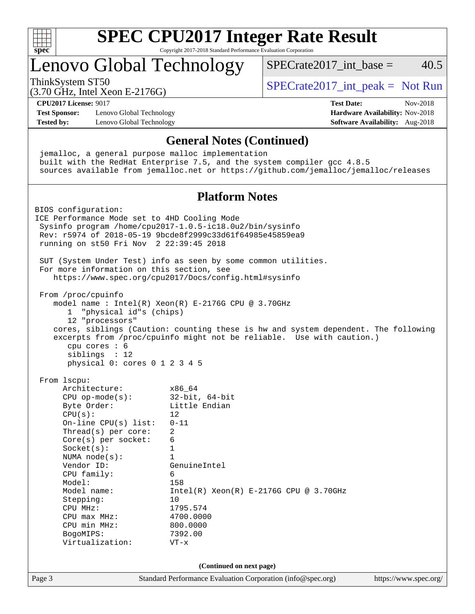

# **[SPEC CPU2017 Integer Rate Result](http://www.spec.org/auto/cpu2017/Docs/result-fields.html#SPECCPU2017IntegerRateResult)**

Copyright 2017-2018 Standard Performance Evaluation Corporation

# Lenovo Global Technology

ThinkSystem ST50  $SPECrate2017$ \_int\_peak = Not Run

SPECrate2017 int\_base =  $40.5$ 

(3.70 GHz, Intel Xeon E-2176G)

**[CPU2017 License:](http://www.spec.org/auto/cpu2017/Docs/result-fields.html#CPU2017License)** 9017 **[Test Date:](http://www.spec.org/auto/cpu2017/Docs/result-fields.html#TestDate)** Nov-2018

**[Test Sponsor:](http://www.spec.org/auto/cpu2017/Docs/result-fields.html#TestSponsor)** Lenovo Global Technology **[Hardware Availability:](http://www.spec.org/auto/cpu2017/Docs/result-fields.html#HardwareAvailability)** Nov-2018 **[Tested by:](http://www.spec.org/auto/cpu2017/Docs/result-fields.html#Testedby)** Lenovo Global Technology **[Software Availability:](http://www.spec.org/auto/cpu2017/Docs/result-fields.html#SoftwareAvailability)** Aug-2018

Page 3 Standard Performance Evaluation Corporation [\(info@spec.org\)](mailto:info@spec.org) <https://www.spec.org/> **[General Notes \(Continued\)](http://www.spec.org/auto/cpu2017/Docs/result-fields.html#GeneralNotes)** jemalloc, a general purpose malloc implementation built with the RedHat Enterprise 7.5, and the system compiler gcc 4.8.5 sources available from jemalloc.net or <https://github.com/jemalloc/jemalloc/releases> **[Platform Notes](http://www.spec.org/auto/cpu2017/Docs/result-fields.html#PlatformNotes)** BIOS configuration: ICE Performance Mode set to 4HD Cooling Mode Sysinfo program /home/cpu2017-1.0.5-ic18.0u2/bin/sysinfo Rev: r5974 of 2018-05-19 9bcde8f2999c33d61f64985e45859ea9 running on st50 Fri Nov 2 22:39:45 2018 SUT (System Under Test) info as seen by some common utilities. For more information on this section, see <https://www.spec.org/cpu2017/Docs/config.html#sysinfo> From /proc/cpuinfo model name : Intel(R) Xeon(R) E-2176G CPU @ 3.70GHz 1 "physical id"s (chips) 12 "processors" cores, siblings (Caution: counting these is hw and system dependent. The following excerpts from /proc/cpuinfo might not be reliable. Use with caution.) cpu cores : 6 siblings : 12 physical 0: cores 0 1 2 3 4 5 From lscpu: Architecture: x86\_64 CPU op-mode(s): 32-bit, 64-bit Byte Order: Little Endian  $CPU(s):$  12 On-line CPU(s) list: 0-11 Thread(s) per core: 2 Core(s) per socket: 6 Socket(s): 1 NUMA node(s): 1 Vendor ID: GenuineIntel CPU family: 6 Model: 158 Model name: Intel(R) Xeon(R) E-2176G CPU @ 3.70GHz Stepping: 10 CPU MHz: 1795.574 CPU max MHz: 4700.0000 CPU min MHz: 800.0000 BogoMIPS: 7392.00 Virtualization: VT-x **(Continued on next page)**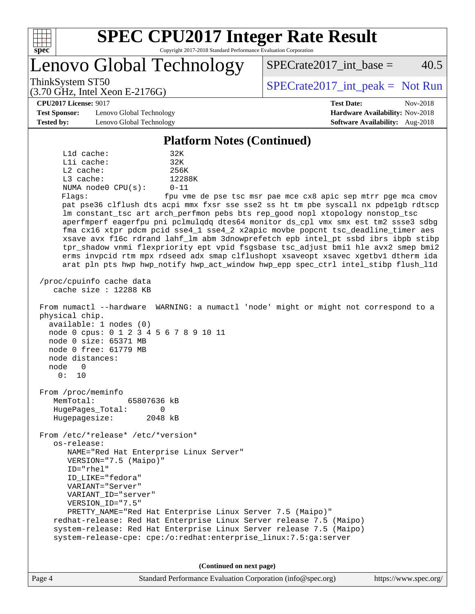

# **[SPEC CPU2017 Integer Rate Result](http://www.spec.org/auto/cpu2017/Docs/result-fields.html#SPECCPU2017IntegerRateResult)**

Copyright 2017-2018 Standard Performance Evaluation Corporation

Lenovo Global Technology

ThinkSystem ST50  $SPECrate2017$ \_int\_peak = Not Run

 $SPECTate2017$ \_int\_base = 40.5

**[CPU2017 License:](http://www.spec.org/auto/cpu2017/Docs/result-fields.html#CPU2017License)** 9017 **[Test Date:](http://www.spec.org/auto/cpu2017/Docs/result-fields.html#TestDate)** Nov-2018

**[Test Sponsor:](http://www.spec.org/auto/cpu2017/Docs/result-fields.html#TestSponsor)** Lenovo Global Technology **[Hardware Availability:](http://www.spec.org/auto/cpu2017/Docs/result-fields.html#HardwareAvailability)** Nov-2018 **[Tested by:](http://www.spec.org/auto/cpu2017/Docs/result-fields.html#Testedby)** Lenovo Global Technology **[Software Availability:](http://www.spec.org/auto/cpu2017/Docs/result-fields.html#SoftwareAvailability)** Aug-2018

(3.70 GHz, Intel Xeon E-2176G)

#### **[Platform Notes \(Continued\)](http://www.spec.org/auto/cpu2017/Docs/result-fields.html#PlatformNotes)**

 L1d cache: 32K L1i cache: 32K L2 cache: 256K L3 cache: 12288K NUMA node0 CPU(s): 0-11 Flags: fpu vme de pse tsc msr pae mce cx8 apic sep mtrr pge mca cmov pat pse36 clflush dts acpi mmx fxsr sse sse2 ss ht tm pbe syscall nx pdpe1gb rdtscp lm constant\_tsc art arch\_perfmon pebs bts rep\_good nopl xtopology nonstop\_tsc aperfmperf eagerfpu pni pclmulqdq dtes64 monitor ds\_cpl vmx smx est tm2 ssse3 sdbg fma cx16 xtpr pdcm pcid sse4\_1 sse4\_2 x2apic movbe popcnt tsc\_deadline\_timer aes xsave avx f16c rdrand lahf\_lm abm 3dnowprefetch epb intel\_pt ssbd ibrs ibpb stibp tpr\_shadow vnmi flexpriority ept vpid fsgsbase tsc\_adjust bmi1 hle avx2 smep bmi2 erms invpcid rtm mpx rdseed adx smap clflushopt xsaveopt xsavec xgetbv1 dtherm ida arat pln pts hwp hwp\_notify hwp\_act\_window hwp\_epp spec\_ctrl intel\_stibp flush\_l1d /proc/cpuinfo cache data cache size : 12288 KB From numactl --hardware WARNING: a numactl 'node' might or might not correspond to a physical chip. available: 1 nodes (0) node 0 cpus: 0 1 2 3 4 5 6 7 8 9 10 11 node 0 size: 65371 MB node 0 free: 61779 MB node distances: node 0 0: 10 From /proc/meminfo MemTotal: 65807636 kB HugePages\_Total: 0 Hugepagesize: 2048 kB From /etc/\*release\* /etc/\*version\* os-release: NAME="Red Hat Enterprise Linux Server" VERSION="7.5 (Maipo)" ID="rhel" ID\_LIKE="fedora" VARIANT="Server" VARIANT\_ID="server" VERSION\_ID="7.5" PRETTY\_NAME="Red Hat Enterprise Linux Server 7.5 (Maipo)" redhat-release: Red Hat Enterprise Linux Server release 7.5 (Maipo) system-release: Red Hat Enterprise Linux Server release 7.5 (Maipo) system-release-cpe: cpe:/o:redhat:enterprise\_linux:7.5:ga:server

**(Continued on next page)**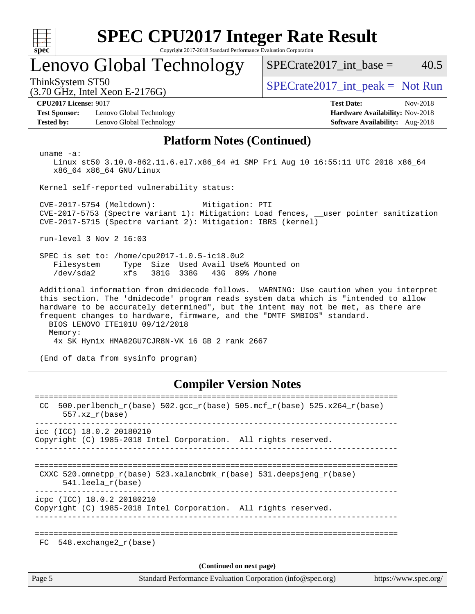| c<br>ŧ<br>ı |  |  |  |  |  |  |  |
|-------------|--|--|--|--|--|--|--|

# **[SPEC CPU2017 Integer Rate Result](http://www.spec.org/auto/cpu2017/Docs/result-fields.html#SPECCPU2017IntegerRateResult)**

Copyright 2017-2018 Standard Performance Evaluation Corporation

# Lenovo Global Technology

ThinkSystem ST50  $SPECrate2017$ \_int\_peak = Not Run

SPECrate2017 int\_base =  $40.5$ 

(3.70 GHz, Intel Xeon E-2176G)

**[Test Sponsor:](http://www.spec.org/auto/cpu2017/Docs/result-fields.html#TestSponsor)** Lenovo Global Technology **[Hardware Availability:](http://www.spec.org/auto/cpu2017/Docs/result-fields.html#HardwareAvailability)** Nov-2018 **[Tested by:](http://www.spec.org/auto/cpu2017/Docs/result-fields.html#Testedby)** Lenovo Global Technology **[Software Availability:](http://www.spec.org/auto/cpu2017/Docs/result-fields.html#SoftwareAvailability)** Aug-2018

**[CPU2017 License:](http://www.spec.org/auto/cpu2017/Docs/result-fields.html#CPU2017License)** 9017 **[Test Date:](http://www.spec.org/auto/cpu2017/Docs/result-fields.html#TestDate)** Nov-2018

#### **[Platform Notes \(Continued\)](http://www.spec.org/auto/cpu2017/Docs/result-fields.html#PlatformNotes)**

uname -a:

 Linux st50 3.10.0-862.11.6.el7.x86\_64 #1 SMP Fri Aug 10 16:55:11 UTC 2018 x86\_64 x86\_64 x86\_64 GNU/Linux

Kernel self-reported vulnerability status:

 CVE-2017-5754 (Meltdown): Mitigation: PTI CVE-2017-5753 (Spectre variant 1): Mitigation: Load fences, \_\_user pointer sanitization CVE-2017-5715 (Spectre variant 2): Mitigation: IBRS (kernel)

run-level 3 Nov 2 16:03

 SPEC is set to: /home/cpu2017-1.0.5-ic18.0u2 Filesystem Type Size Used Avail Use% Mounted on /dev/sda2 xfs 381G 338G 43G 89% /home

 Additional information from dmidecode follows. WARNING: Use caution when you interpret this section. The 'dmidecode' program reads system data which is "intended to allow hardware to be accurately determined", but the intent may not be met, as there are frequent changes to hardware, firmware, and the "DMTF SMBIOS" standard. BIOS LENOVO ITE101U 09/12/2018

Memory:

4x SK Hynix HMA82GU7CJR8N-VK 16 GB 2 rank 2667

(End of data from sysinfo program)

#### **[Compiler Version Notes](http://www.spec.org/auto/cpu2017/Docs/result-fields.html#CompilerVersionNotes)**

| Page 5 | Standard Performance Evaluation Corporation (info@spec.org)<br>https://www.spec.org/                                                     |
|--------|------------------------------------------------------------------------------------------------------------------------------------------|
|        | (Continued on next page)                                                                                                                 |
| FC     | 548.exchange2 r(base)                                                                                                                    |
|        |                                                                                                                                          |
|        | icpc (ICC) 18.0.2 20180210<br>Copyright (C) 1985-2018 Intel Corporation. All rights reserved.                                            |
|        | ==================================<br>CXXC 520.omnetpp $r(base)$ 523.xalancbmk $r(base)$ 531.deepsjeng $r(base)$<br>$541.$ leela r(base) |
|        | $\text{icc}$ (ICC) 18.0.2 20180210<br>Copyright (C) 1985-2018 Intel Corporation. All rights reserved.                                    |
| CC.    | 500.perlbench_r(base) 502.gcc_r(base) 505.mcf_r(base) 525.x264_r(base)<br>$557.xx$ $r(base)$                                             |
|        |                                                                                                                                          |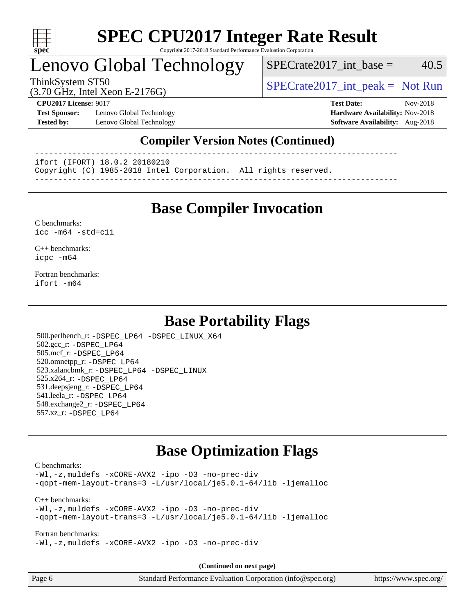

#### **[SPEC CPU2017 Integer Rate Result](http://www.spec.org/auto/cpu2017/Docs/result-fields.html#SPECCPU2017IntegerRateResult)** Copyright 2017-2018 Standard Performance Evaluation Corporation

# Lenovo Global Technology

 $SPECTate2017\_int\_base = 40.5$ 

(3.70 GHz, Intel Xeon E-2176G)

ThinkSystem ST50  $SPECrate2017$ \_int\_peak = Not Run

**[Test Sponsor:](http://www.spec.org/auto/cpu2017/Docs/result-fields.html#TestSponsor)** Lenovo Global Technology **[Hardware Availability:](http://www.spec.org/auto/cpu2017/Docs/result-fields.html#HardwareAvailability)** Nov-2018 **[Tested by:](http://www.spec.org/auto/cpu2017/Docs/result-fields.html#Testedby)** Lenovo Global Technology **[Software Availability:](http://www.spec.org/auto/cpu2017/Docs/result-fields.html#SoftwareAvailability)** Aug-2018

**[CPU2017 License:](http://www.spec.org/auto/cpu2017/Docs/result-fields.html#CPU2017License)** 9017 **[Test Date:](http://www.spec.org/auto/cpu2017/Docs/result-fields.html#TestDate)** Nov-2018

### **[Compiler Version Notes \(Continued\)](http://www.spec.org/auto/cpu2017/Docs/result-fields.html#CompilerVersionNotes)**

------------------------------------------------------------------------------

ifort (IFORT) 18.0.2 20180210

Copyright (C) 1985-2018 Intel Corporation. All rights reserved.

------------------------------------------------------------------------------

## **[Base Compiler Invocation](http://www.spec.org/auto/cpu2017/Docs/result-fields.html#BaseCompilerInvocation)**

#### [C benchmarks](http://www.spec.org/auto/cpu2017/Docs/result-fields.html#Cbenchmarks): [icc -m64 -std=c11](http://www.spec.org/cpu2017/results/res2018q4/cpu2017-20181113-09708.flags.html#user_CCbase_intel_icc_64bit_c11_33ee0cdaae7deeeab2a9725423ba97205ce30f63b9926c2519791662299b76a0318f32ddfffdc46587804de3178b4f9328c46fa7c2b0cd779d7a61945c91cd35)

[C++ benchmarks:](http://www.spec.org/auto/cpu2017/Docs/result-fields.html#CXXbenchmarks) [icpc -m64](http://www.spec.org/cpu2017/results/res2018q4/cpu2017-20181113-09708.flags.html#user_CXXbase_intel_icpc_64bit_4ecb2543ae3f1412ef961e0650ca070fec7b7afdcd6ed48761b84423119d1bf6bdf5cad15b44d48e7256388bc77273b966e5eb805aefd121eb22e9299b2ec9d9)

[Fortran benchmarks](http://www.spec.org/auto/cpu2017/Docs/result-fields.html#Fortranbenchmarks): [ifort -m64](http://www.spec.org/cpu2017/results/res2018q4/cpu2017-20181113-09708.flags.html#user_FCbase_intel_ifort_64bit_24f2bb282fbaeffd6157abe4f878425411749daecae9a33200eee2bee2fe76f3b89351d69a8130dd5949958ce389cf37ff59a95e7a40d588e8d3a57e0c3fd751)

## **[Base Portability Flags](http://www.spec.org/auto/cpu2017/Docs/result-fields.html#BasePortabilityFlags)**

 500.perlbench\_r: [-DSPEC\\_LP64](http://www.spec.org/cpu2017/results/res2018q4/cpu2017-20181113-09708.flags.html#b500.perlbench_r_basePORTABILITY_DSPEC_LP64) [-DSPEC\\_LINUX\\_X64](http://www.spec.org/cpu2017/results/res2018q4/cpu2017-20181113-09708.flags.html#b500.perlbench_r_baseCPORTABILITY_DSPEC_LINUX_X64) 502.gcc\_r: [-DSPEC\\_LP64](http://www.spec.org/cpu2017/results/res2018q4/cpu2017-20181113-09708.flags.html#suite_basePORTABILITY502_gcc_r_DSPEC_LP64) 505.mcf\_r: [-DSPEC\\_LP64](http://www.spec.org/cpu2017/results/res2018q4/cpu2017-20181113-09708.flags.html#suite_basePORTABILITY505_mcf_r_DSPEC_LP64) 520.omnetpp\_r: [-DSPEC\\_LP64](http://www.spec.org/cpu2017/results/res2018q4/cpu2017-20181113-09708.flags.html#suite_basePORTABILITY520_omnetpp_r_DSPEC_LP64) 523.xalancbmk\_r: [-DSPEC\\_LP64](http://www.spec.org/cpu2017/results/res2018q4/cpu2017-20181113-09708.flags.html#suite_basePORTABILITY523_xalancbmk_r_DSPEC_LP64) [-DSPEC\\_LINUX](http://www.spec.org/cpu2017/results/res2018q4/cpu2017-20181113-09708.flags.html#b523.xalancbmk_r_baseCXXPORTABILITY_DSPEC_LINUX) 525.x264\_r: [-DSPEC\\_LP64](http://www.spec.org/cpu2017/results/res2018q4/cpu2017-20181113-09708.flags.html#suite_basePORTABILITY525_x264_r_DSPEC_LP64) 531.deepsjeng\_r: [-DSPEC\\_LP64](http://www.spec.org/cpu2017/results/res2018q4/cpu2017-20181113-09708.flags.html#suite_basePORTABILITY531_deepsjeng_r_DSPEC_LP64) 541.leela\_r: [-DSPEC\\_LP64](http://www.spec.org/cpu2017/results/res2018q4/cpu2017-20181113-09708.flags.html#suite_basePORTABILITY541_leela_r_DSPEC_LP64) 548.exchange2\_r: [-DSPEC\\_LP64](http://www.spec.org/cpu2017/results/res2018q4/cpu2017-20181113-09708.flags.html#suite_basePORTABILITY548_exchange2_r_DSPEC_LP64) 557.xz\_r: [-DSPEC\\_LP64](http://www.spec.org/cpu2017/results/res2018q4/cpu2017-20181113-09708.flags.html#suite_basePORTABILITY557_xz_r_DSPEC_LP64)

# **[Base Optimization Flags](http://www.spec.org/auto/cpu2017/Docs/result-fields.html#BaseOptimizationFlags)**

#### [C benchmarks](http://www.spec.org/auto/cpu2017/Docs/result-fields.html#Cbenchmarks):

[-Wl,-z,muldefs](http://www.spec.org/cpu2017/results/res2018q4/cpu2017-20181113-09708.flags.html#user_CCbase_link_force_multiple1_b4cbdb97b34bdee9ceefcfe54f4c8ea74255f0b02a4b23e853cdb0e18eb4525ac79b5a88067c842dd0ee6996c24547a27a4b99331201badda8798ef8a743f577) [-xCORE-AVX2](http://www.spec.org/cpu2017/results/res2018q4/cpu2017-20181113-09708.flags.html#user_CCbase_f-xCORE-AVX2) [-ipo](http://www.spec.org/cpu2017/results/res2018q4/cpu2017-20181113-09708.flags.html#user_CCbase_f-ipo) [-O3](http://www.spec.org/cpu2017/results/res2018q4/cpu2017-20181113-09708.flags.html#user_CCbase_f-O3) [-no-prec-div](http://www.spec.org/cpu2017/results/res2018q4/cpu2017-20181113-09708.flags.html#user_CCbase_f-no-prec-div) [-qopt-mem-layout-trans=3](http://www.spec.org/cpu2017/results/res2018q4/cpu2017-20181113-09708.flags.html#user_CCbase_f-qopt-mem-layout-trans_de80db37974c74b1f0e20d883f0b675c88c3b01e9d123adea9b28688d64333345fb62bc4a798493513fdb68f60282f9a726aa07f478b2f7113531aecce732043) [-L/usr/local/je5.0.1-64/lib](http://www.spec.org/cpu2017/results/res2018q4/cpu2017-20181113-09708.flags.html#user_CCbase_jemalloc_link_path64_4b10a636b7bce113509b17f3bd0d6226c5fb2346b9178c2d0232c14f04ab830f976640479e5c33dc2bcbbdad86ecfb6634cbbd4418746f06f368b512fced5394) [-ljemalloc](http://www.spec.org/cpu2017/results/res2018q4/cpu2017-20181113-09708.flags.html#user_CCbase_jemalloc_link_lib_d1249b907c500fa1c0672f44f562e3d0f79738ae9e3c4a9c376d49f265a04b9c99b167ecedbf6711b3085be911c67ff61f150a17b3472be731631ba4d0471706)

[C++ benchmarks:](http://www.spec.org/auto/cpu2017/Docs/result-fields.html#CXXbenchmarks) [-Wl,-z,muldefs](http://www.spec.org/cpu2017/results/res2018q4/cpu2017-20181113-09708.flags.html#user_CXXbase_link_force_multiple1_b4cbdb97b34bdee9ceefcfe54f4c8ea74255f0b02a4b23e853cdb0e18eb4525ac79b5a88067c842dd0ee6996c24547a27a4b99331201badda8798ef8a743f577) [-xCORE-AVX2](http://www.spec.org/cpu2017/results/res2018q4/cpu2017-20181113-09708.flags.html#user_CXXbase_f-xCORE-AVX2) [-ipo](http://www.spec.org/cpu2017/results/res2018q4/cpu2017-20181113-09708.flags.html#user_CXXbase_f-ipo) [-O3](http://www.spec.org/cpu2017/results/res2018q4/cpu2017-20181113-09708.flags.html#user_CXXbase_f-O3) [-no-prec-div](http://www.spec.org/cpu2017/results/res2018q4/cpu2017-20181113-09708.flags.html#user_CXXbase_f-no-prec-div) [-qopt-mem-layout-trans=3](http://www.spec.org/cpu2017/results/res2018q4/cpu2017-20181113-09708.flags.html#user_CXXbase_f-qopt-mem-layout-trans_de80db37974c74b1f0e20d883f0b675c88c3b01e9d123adea9b28688d64333345fb62bc4a798493513fdb68f60282f9a726aa07f478b2f7113531aecce732043) [-L/usr/local/je5.0.1-64/lib](http://www.spec.org/cpu2017/results/res2018q4/cpu2017-20181113-09708.flags.html#user_CXXbase_jemalloc_link_path64_4b10a636b7bce113509b17f3bd0d6226c5fb2346b9178c2d0232c14f04ab830f976640479e5c33dc2bcbbdad86ecfb6634cbbd4418746f06f368b512fced5394) [-ljemalloc](http://www.spec.org/cpu2017/results/res2018q4/cpu2017-20181113-09708.flags.html#user_CXXbase_jemalloc_link_lib_d1249b907c500fa1c0672f44f562e3d0f79738ae9e3c4a9c376d49f265a04b9c99b167ecedbf6711b3085be911c67ff61f150a17b3472be731631ba4d0471706)

[Fortran benchmarks](http://www.spec.org/auto/cpu2017/Docs/result-fields.html#Fortranbenchmarks): [-Wl,-z,muldefs](http://www.spec.org/cpu2017/results/res2018q4/cpu2017-20181113-09708.flags.html#user_FCbase_link_force_multiple1_b4cbdb97b34bdee9ceefcfe54f4c8ea74255f0b02a4b23e853cdb0e18eb4525ac79b5a88067c842dd0ee6996c24547a27a4b99331201badda8798ef8a743f577) [-xCORE-AVX2](http://www.spec.org/cpu2017/results/res2018q4/cpu2017-20181113-09708.flags.html#user_FCbase_f-xCORE-AVX2) [-ipo](http://www.spec.org/cpu2017/results/res2018q4/cpu2017-20181113-09708.flags.html#user_FCbase_f-ipo) [-O3](http://www.spec.org/cpu2017/results/res2018q4/cpu2017-20181113-09708.flags.html#user_FCbase_f-O3) [-no-prec-div](http://www.spec.org/cpu2017/results/res2018q4/cpu2017-20181113-09708.flags.html#user_FCbase_f-no-prec-div)

**(Continued on next page)**

| Page 6 | Standard Performance Evaluation Corporation (info@spec.org) |  | https://www.spec.org/ |
|--------|-------------------------------------------------------------|--|-----------------------|
|--------|-------------------------------------------------------------|--|-----------------------|